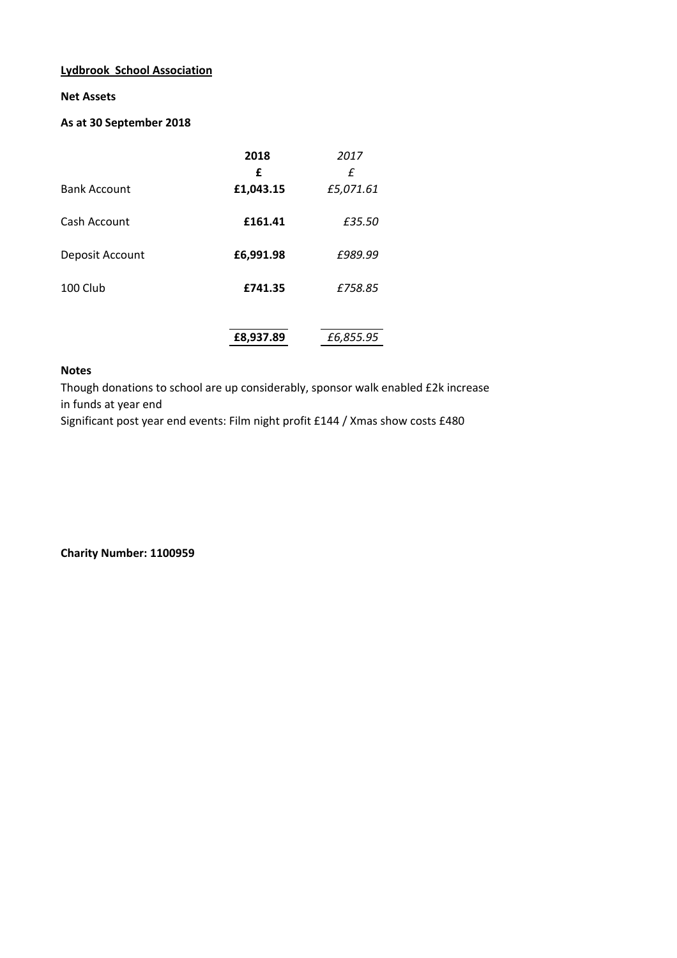## **Lydbrook School Association**

#### **Net Assets**

# **As at 30 September 2018**

|                     | 2018      | 2017      |  |
|---------------------|-----------|-----------|--|
|                     | £         | f         |  |
| <b>Bank Account</b> | £1,043.15 | £5,071.61 |  |
| Cash Account        | £161.41   | £35.50    |  |
| Deposit Account     | £6,991.98 | £989.99   |  |
| 100 Club            | £741.35   | £758.85   |  |
|                     | £8,937.89 | £6,855.95 |  |

# **Notes**

Though donations to school are up considerably, sponsor walk enabled £2k increase in funds at year end

Significant post year end events: Film night profit £144 / Xmas show costs £480

**Charity Number: 1100959**